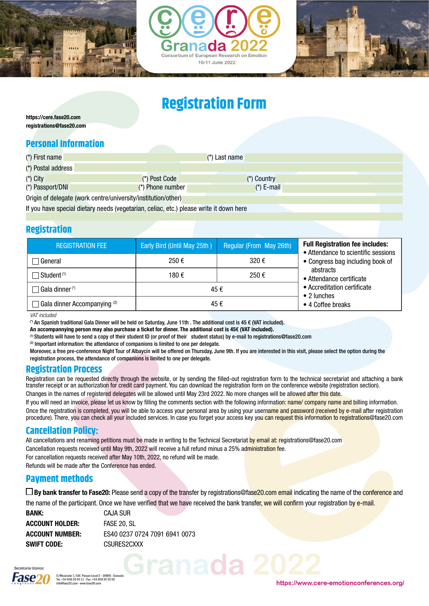





# **Registration Form**

https://cere.fase20.com registrations@fase20.com

## **Personal Information**

| (*) First name     |                                                                                        |                    | $(*)$ Last name |  |
|--------------------|----------------------------------------------------------------------------------------|--------------------|-----------------|--|
| (*) Postal address |                                                                                        |                    |                 |  |
| $(*)$ City         |                                                                                        | (*) Post Code      | (*) Country     |  |
| (*) Passport/DNI   |                                                                                        | $(*)$ Phone number | $(*)$ E-mail    |  |
|                    | Origin of delegate (work centre/university/institution/other)                          |                    |                 |  |
|                    | If you have special dietary needs (vegetarian, celiac, etc.) please write it down here |                    |                 |  |

## **Registration**

| <b>REGISTRATION FEE</b>               | Early Bird (Until May 25th) | Regular (From May 26th) | <b>Full Registration fee includes:</b><br>• Attendance to scientific sessions<br>• Congress bag including book of |  |  |
|---------------------------------------|-----------------------------|-------------------------|-------------------------------------------------------------------------------------------------------------------|--|--|
| General                               | 250€                        | 320€                    |                                                                                                                   |  |  |
| Student (1)                           | 250€<br>180 €               |                         | abstracts<br>• Attendance certificate<br>• Accreditation certificate<br>• 2 lunches                               |  |  |
| Gala dinner <sup>(*)</sup>            | 45€                         |                         |                                                                                                                   |  |  |
| $\Box$ Gala dinner Accompanying $(2)$ | 45 €                        | • 4 Coffee breaks       |                                                                                                                   |  |  |

*VAT included*

(\*) An Spanish traditional Gala Dinner will be held on Saturday, June 11th . The additional cost is 45 € (VAT included).

An accompannying person may also purchase a ticket for dinner. The additional cost is 45€ (VAT included).

(1) Students will have to send a copy of their student ID (or proof of their student status) by e-mail to registrations@fase20.com

 $(2)$  Important information: the attendance of companions is limited to one per delegate.

Moreover, a free pre-conference Night Tour of Albaycín will be offered on Thursday, June 9th. If you are interested in this visit, please select the option during the registration process, the attendance of companions is limited to one per delegate.

#### **Registration Process**

Registration can be requested directly through the website, or by sending the filled-out registration form to the technical secretariat and attaching a bank transfer receipt or an authorization for credit card payment. You can download the registration form on the conference website (registration section).

Changes in the names of registered delegates will be allowed until May 23rd 2022. No more changes will be allowed after this date.

If you will need an invoice, please let us know by filling the comments section with the following information: name/ company name and billing information. Once the registration is completed, you will be able to access your personal area by using your username and password (received by e-mail after registration procedure). There, you can check all your included services. In case you forget your access key you can request this information to registrations@fase20.com

### **Cancellation Policy:**

All cancellations and renaming petitions must be made in writing to the Technical Secretariat by email at: registrations@fase20.com Cancellation requests received until May 9th, 2022 will receive a full refund minus a 25% administration fee. For cancellation requests received after May 10th, 2022, no refund will be made.

Refunds will be made after the Conference has ended.

#### **Payment methods**

□ By bank transfer to Fase20: Please send a copy of the transfer by registrations@fase20.com email indicating the name of the **conference** and

ranada 202

the name of the participant. Once we have verified that we have received the bank transfer, we will confirm your registration by e-mail.

| BANK:           | CAJA SUR                      |
|-----------------|-------------------------------|
| ACCOUNT HOLDER: | FASE 20. SL                   |
| ACCOUNT NUMBER: | ES40 0237 0724 7091 6941 0073 |
| Swift Code:     | CSURES2CXXX                   |



https://www.cere-emotionconferences.org/